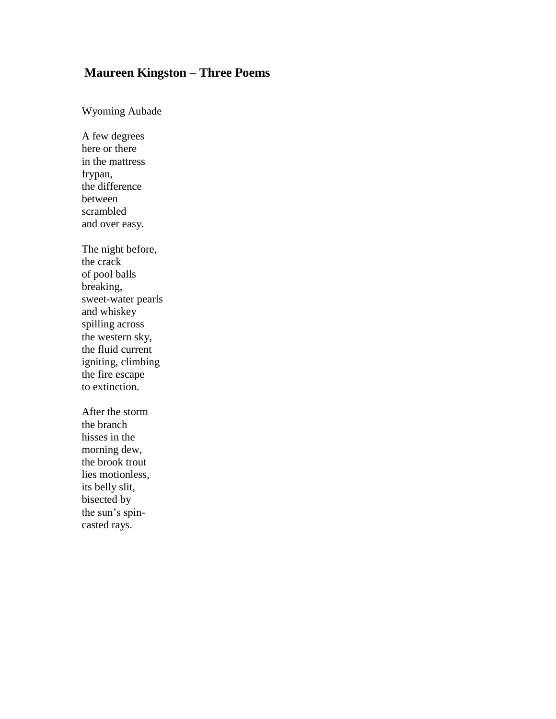## **Maureen Kingston – Three Poems**

Wyoming Aubade

A few degrees here or there in the mattress frypan, the difference between scrambled and over easy.

The night before, the crack of pool balls breaking, sweet-water pearls and whiskey spilling across the western sky, the fluid current igniting, climbing the fire escape to extinction.

After the storm the branch hisses in the morning dew, the brook trout lies motionless, its belly slit, bisected by the sun's spincasted rays.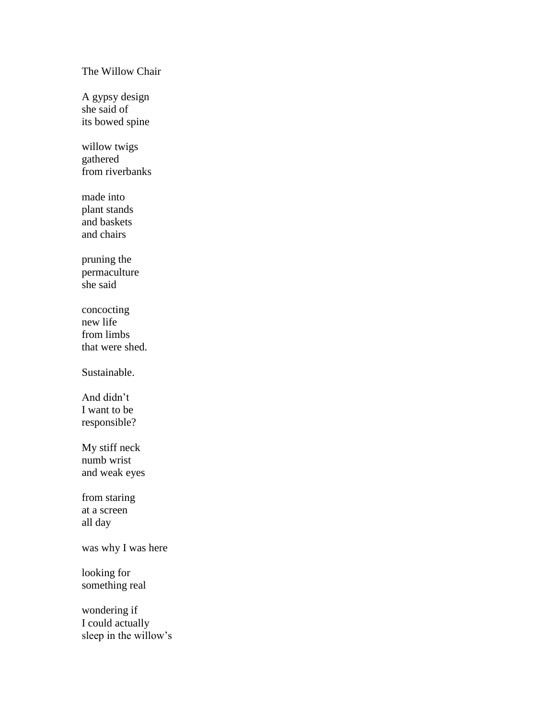## The Willow Chair

A gypsy design she said of its bowed spine

willow twigs gathered from riverbanks

made into plant stands and baskets and chairs

pruning the permaculture she said

concocting new life from limbs that were shed.

Sustainable.

And didn't I want to be responsible?

My stiff neck numb wrist and weak eyes

from staring at a screen all day

was why I was here

looking for something real

wondering if I could actually sleep in the willow's